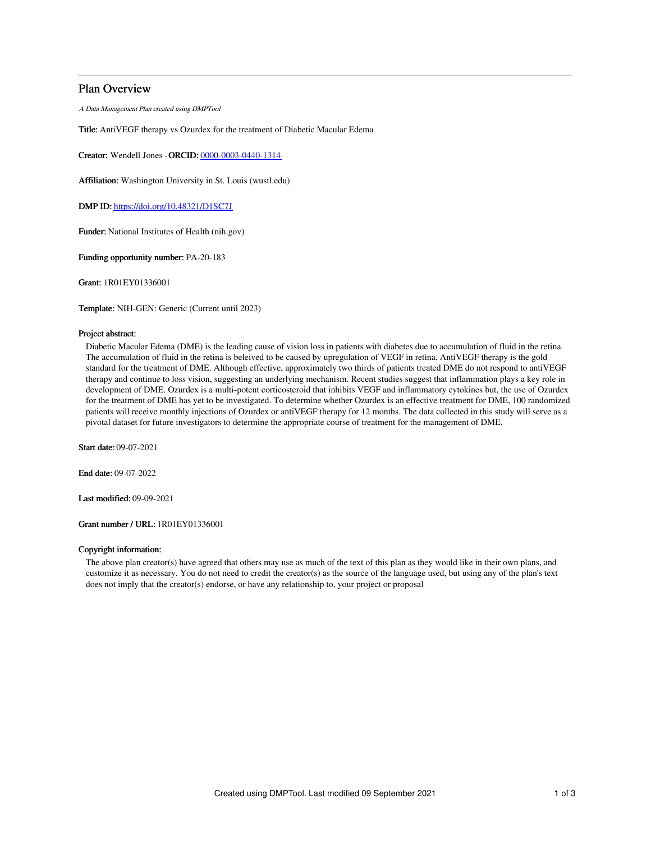# Plan Overview

A Data Management Plan created using DMPTool

Title: AntiVEGF therapy vs Ozurdex for the treatment of Diabetic Macular Edema

Creator: Wendell Jones -ORCID: [0000-0003-0440-1314](https://orcid.org/0000-0003-0440-1314)

Affiliation: Washington University in St. Louis (wustl.edu)

DMP ID: <https://doi.org/10.48321/D1SC7J>

Funder: National Institutes of Health (nih.gov)

Funding opportunity number: PA-20-183

Grant: 1R01EY01336001

Template: NIH-GEN: Generic (Current until 2023)

## Project abstract:

Diabetic Macular Edema (DME) is the leading cause of vision loss in patients with diabetes due to accumulation of fluid in the retina. The accumulation of fluid in the retina is beleived to be caused by upregulation of VEGF in retina. AntiVEGF therapy is the gold standard for the treatment of DME. Although effective, approximately two thirds of patients treated DME do not respond to antiVEGF therapy and continue to loss vision, suggesting an underlying mechanism. Recent studies suggest that inflammation plays a key role in development of DME. Ozurdex is a multi-potent corticosteroid that inhibits VEGF and inflammatory cytokines but, the use of Ozurdex for the treatment of DME has yet to be investigated. To determine whether Ozurdex is an effective treatment for DME, 100 randomized patients will receive monthly injections of Ozurdex or antiVEGF therapy for 12 months. The data collected in this study will serve as a pivotal dataset for future investigators to determine the appropriate course of treatment for the management of DME.

Start date: 09-07-2021

End date: 09-07-2022

Last modified: 09-09-2021

Grant number / URL: 1R01EY01336001

## Copyright information:

The above plan creator(s) have agreed that others may use as much of the text of this plan as they would like in their own plans, and customize it as necessary. You do not need to credit the creator(s) as the source of the language used, but using any of the plan's text does not imply that the creator(s) endorse, or have any relationship to, your project or proposal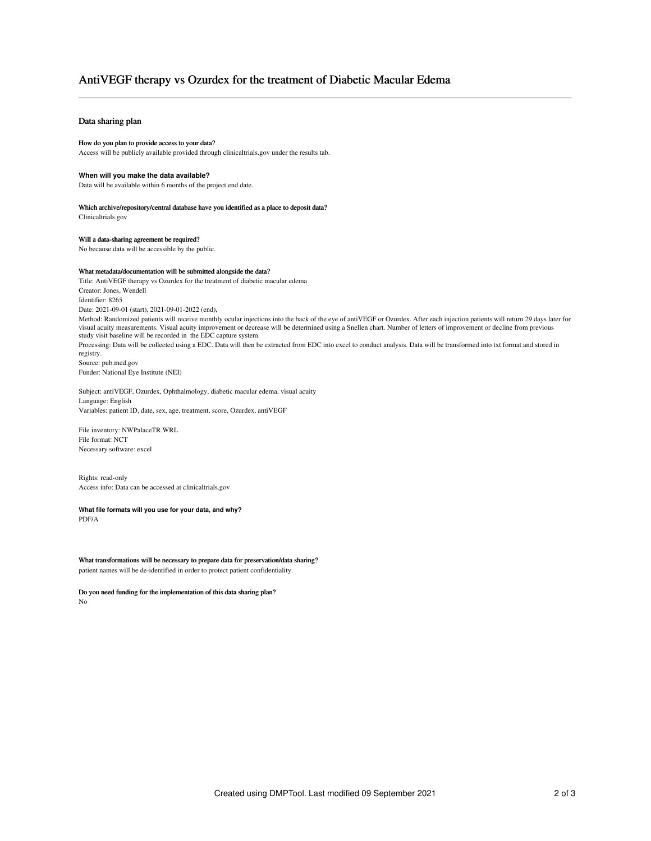# AntiVEGF therapy vs Ozurdex for the treatment of Diabetic Macular Edema

## Data sharing plan

#### How do you plan to provide access to your data?

Access will be publicly available provided through clinicaltrials.gov under the results tab.

#### **When will you make the data available?**

Data will be available within 6 months of the project end date.

### Which archive/repository/central database have you identified as a place to deposit data?

Clinicaltrials.gov

## Will a data-sharing agreement be required?

No because data will be accessible by the public.

#### What metadata/documentation will be submitted alongside the data?

Title: AntiVEGF therapy vs Ozurdex for the treatment of diabetic macular edema Creator: Jones, Wendell Identifier: 8265 Date: 2021-09-01 (start), 2021-09-01-2022 (end), Method: Randomized patients will receive monthly ocular injections into the back of the eye of antiVEGF or Ozurdex. After each injection patients will return 29 days later for visual acuity measurements. Visual acuity improvement or decrease will be determined using a Snellen chart. Number of letters of improvement or decline from previous study visit baseline will be recorded in the EDC capture system. Processing: Data will be collected using a EDC. Data will then be extracted from EDC into excel to conduct analysis. Data will be transformed into txt format and stored in

registry. Source: pub.med.gov Funder: National Eye Institute (NEI)

Subject: antiVEGF, Ozurdex, Ophthalmology, diabetic macular edema, visual acuity Language: English Variables: patient ID, date, sex, age, treatment, score, Ozurdex, antiVEGF

File inventory: NWPalaceTR.WRL File format: NCT Necessary software: excel

Rights: read-only Access info: Data can be accessed at clinicaltrials.gov

**What file formats will you use for your data, and why?** PDF/A

What transformations will be necessary to prepare data for preservation/data sharing? patient names will be de-identified in order to protect patient confidentiality.

Do you need funding for the implementation of this data sharing plan? No